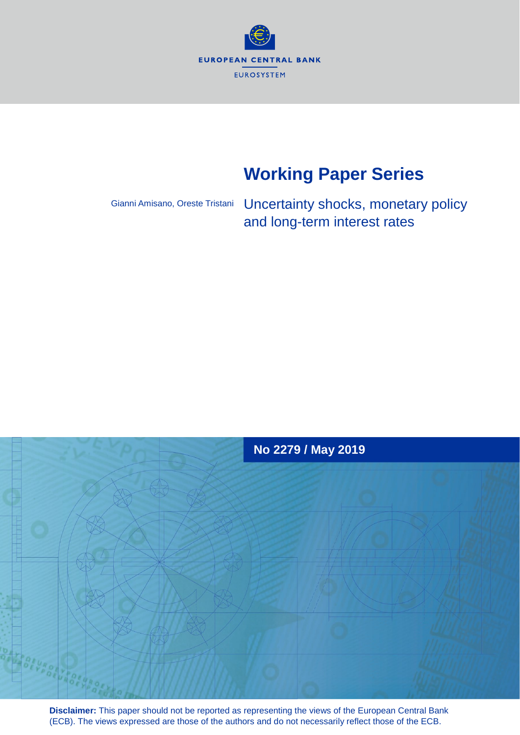**EUROPEAN CENTRAL BANK** EUROSYSTEM

# **Working Paper Series**

Gianni Amisano, Oreste Tristani

Uncertainty shocks, monetary policy and long-term interest rates



**Disclaimer:** This paper should not be reported as representing the views of the European Central Bank (ECB). The views expressed are those of the authors and do not necessarily reflect those of the ECB.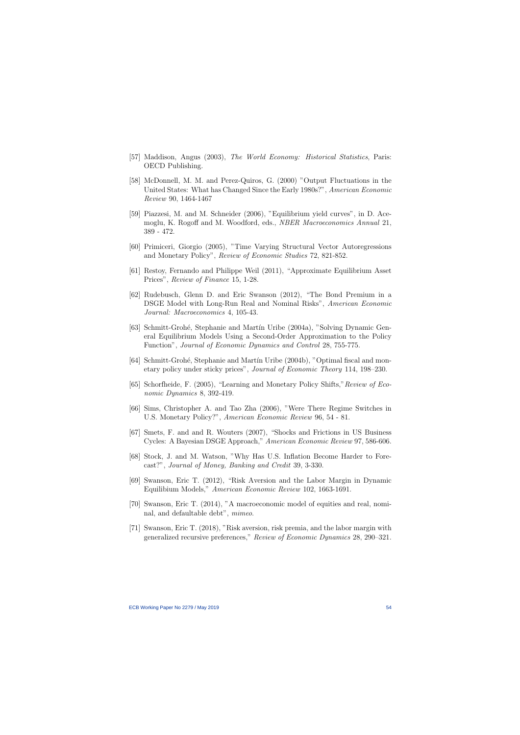- [57] Maddison, Angus (2003), The World Economy: Historical Statistics, Paris: OECD Publishing.
- [58] McDonnell, M. M. and Perez-Quiros, G. (2000) "Output Fluctuations in the United States: What has Changed Since the Early 1980s?", American Economic Review 90, 1464-1467
- [59] Piazzesi, M. and M. Schneider (2006), "Equilibrium yield curves", in D. Acemoglu, K. Rogoff and M. Woodford, eds., NBER Macroeconomics Annual 21, 389 - 472.
- [60] Primiceri, Giorgio (2005), "Time Varying Structural Vector Autoregressions and Monetary Policy", Review of Economic Studies 72, 821-852.
- [61] Restoy, Fernando and Philippe Weil (2011), "Approximate Equilibrium Asset Prices", Review of Finance 15, 1-28.
- [62] Rudebusch, Glenn D. and Eric Swanson (2012), "The Bond Premium in a DSGE Model with Long-Run Real and Nominal Risks", American Economic Journal: Macroeconomics 4, 105-43.
- [63] Schmitt-Groh´e, Stephanie and Mart´ın Uribe (2004a), "Solving Dynamic General Equilibrium Models Using a Second-Order Approximation to the Policy Function", Journal of Economic Dynamics and Control 28, 755-775.
- [64] Schmitt-Grohé, Stephanie and Martín Uribe (2004b), "Optimal fiscal and monetary policy under sticky prices", Journal of Economic Theory 114, 198–230.
- [65] Schorfheide, F. (2005), "Learning and Monetary Policy Shifts,"Review of Economic Dynamics 8, 392-419.
- [66] Sims, Christopher A. and Tao Zha (2006), "Were There Regime Switches in U.S. Monetary Policy?", American Economic Review 96, 54 - 81.
- [67] Smets, F. and and R. Wouters (2007), "Shocks and Frictions in US Business Cycles: A Bayesian DSGE Approach," American Economic Review 97, 586-606.
- [68] Stock, J. and M. Watson, "Why Has U.S. Inflation Become Harder to Forecast?", Journal of Money, Banking and Credit 39, 3-330.
- [69] Swanson, Eric T. (2012), "Risk Aversion and the Labor Margin in Dynamic Equilibium Models," American Economic Review 102, 1663-1691.
- [70] Swanson, Eric T. (2014), "A macroeconomic model of equities and real, nominal, and defaultable debt", mimeo.
- [71] Swanson, Eric T. (2018), "Risk aversion, risk premia, and the labor margin with generalized recursive preferences," Review of Economic Dynamics 28, 290–321.